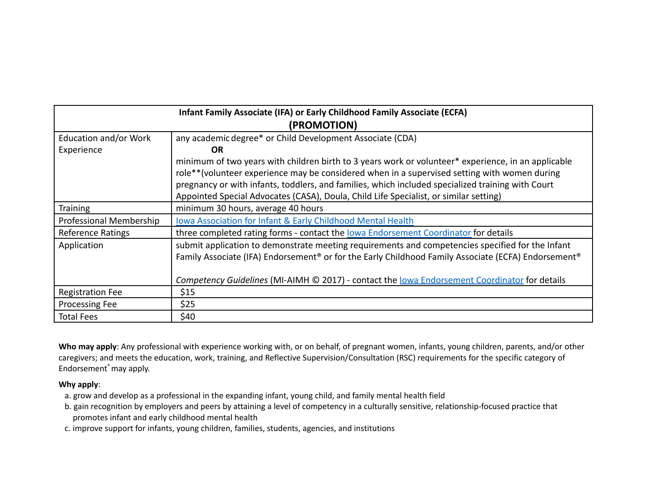| Infant Family Associate (IFA) or Early Childhood Family Associate (ECFA)<br>(PROMOTION) |                                                                                                                                                                                                                                                                                                                                                                                                   |
|-----------------------------------------------------------------------------------------|---------------------------------------------------------------------------------------------------------------------------------------------------------------------------------------------------------------------------------------------------------------------------------------------------------------------------------------------------------------------------------------------------|
| Education and/or Work<br>Experience                                                     | any academic degree* or Child Development Associate (CDA)<br><b>OR</b>                                                                                                                                                                                                                                                                                                                            |
|                                                                                         | minimum of two years with children birth to 3 years work or volunteer* experience, in an applicable<br>role**(volunteer experience may be considered when in a supervised setting with women during<br>pregnancy or with infants, toddlers, and families, which included specialized training with Court<br>Appointed Special Advocates (CASA), Doula, Child Life Specialist, or similar setting) |
| <b>Training</b>                                                                         | minimum 30 hours, average 40 hours                                                                                                                                                                                                                                                                                                                                                                |
| Professional Membership                                                                 | Iowa Association for Infant & Early Childhood Mental Health                                                                                                                                                                                                                                                                                                                                       |
| Reference Ratings                                                                       | three completed rating forms - contact the lowa Endorsement Coordinator for details                                                                                                                                                                                                                                                                                                               |
| Application                                                                             | submit application to demonstrate meeting requirements and competencies specified for the Infant<br>Family Associate (IFA) Endorsement <sup>®</sup> or for the Early Childhood Family Associate (ECFA) Endorsement <sup>®</sup><br>Competency Guidelines (MI-AIMH © 2017) - contact the lowa Endorsement Coordinator for details                                                                  |
| <b>Registration Fee</b>                                                                 | \$15                                                                                                                                                                                                                                                                                                                                                                                              |
| <b>Processing Fee</b>                                                                   | \$25                                                                                                                                                                                                                                                                                                                                                                                              |
| <b>Total Fees</b>                                                                       | \$40                                                                                                                                                                                                                                                                                                                                                                                              |

**Who may apply**: Any professional with experience working with, or on behalf, of pregnant women, infants, young children, parents, and/or other caregivers; and meets the education, work, training, and Reflective Supervision/Consultation (RSC) requirements for the specific category of Endorsement ®may apply.

## **Why apply**:

- a. grow and develop as a professional in the expanding infant, young child, and family mental health field
- b. gain recognition by employers and peers by attaining a level of competency in a culturally sensitive, relationship-focused practice that promotes infant and early childhood mental health
- c. improve support for infants, young children, families, students, agencies, and institutions